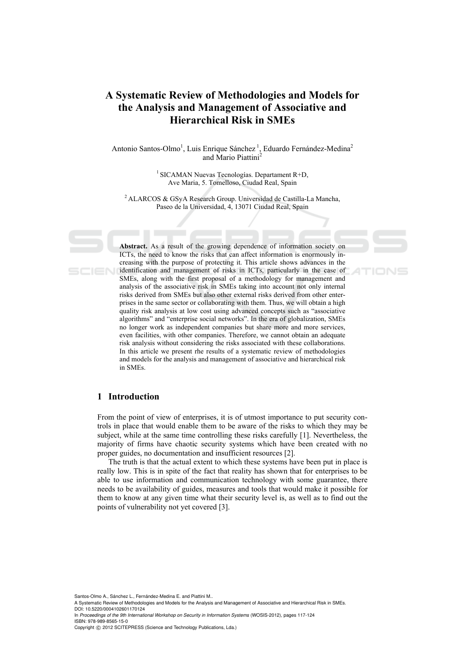# **A Systematic Review of Methodologies and Models for the Analysis and Management of Associative and Hierarchical Risk in SMEs**

Antonio Santos-Olmo<sup>1</sup>, Luis Enrique Sánchez<sup>1</sup>, Eduardo Fernández-Medina<sup>2</sup> and Mario Piattini<sup>2</sup>

> <sup>1</sup> SICAMAN Nuevas Tecnologías. Departament R+D, Ave Maria, 5. Tomelloso, Ciudad Real, Spain

2 ALARCOS & GSyA Research Group. Universidad de Castilla-La Mancha, Paseo de la Universidad, 4, 13071 Ciudad Real, Spain

**Abstract.** As a result of the growing dependence of information society on ICTs, the need to know the risks that can affect information is enormously increasing with the purpose of protecting it. This article shows advances in the identification and management of risks in ICTs, particularly in the case of SMEs, along with the first proposal of a methodology for management and analysis of the associative risk in SMEs taking into account not only internal risks derived from SMEs but also other external risks derived from other enterprises in the same sector or collaborating with them. Thus, we will obtain a high quality risk analysis at low cost using advanced concepts such as "associative algorithms" and "enterprise social networks". In the era of globalization, SMEs no longer work as independent companies but share more and more services, even facilities, with other companies. Therefore, we cannot obtain an adequate risk analysis without considering the risks associated with these collaborations. In this article we present rhe results of a systematic review of methodologies and models for the analysis and management of associative and hierarchical risk in SMEs.

## **1 Introduction**

From the point of view of enterprises, it is of utmost importance to put security controls in place that would enable them to be aware of the risks to which they may be subject, while at the same time controlling these risks carefully [1]. Nevertheless, the majority of firms have chaotic security systems which have been created with no proper guides, no documentation and insufficient resources [2].

The truth is that the actual extent to which these systems have been put in place is really low. This is in spite of the fact that reality has shown that for enterprises to be able to use information and communication technology with some guarantee, there needs to be availability of guides, measures and tools that would make it possible for them to know at any given time what their security level is, as well as to find out the points of vulnerability not yet covered [3].

Santos-Olmo A., Sánchez L., Fernández-Medina E. and Piattini M..

In *Proceedings of the 9th International Workshop on Security in Information Systems* (WOSIS-2012), pages 117-124 ISBN: 978-989-8565-15-0

Copyright © 2012 SCITEPRESS (Science and Technology Publications, Lda.)

A Systematic Review of Methodologies and Models for the Analysis and Management of Associative and Hierarchical Risk in SMEs. DOI: 10.5220/0004102601170124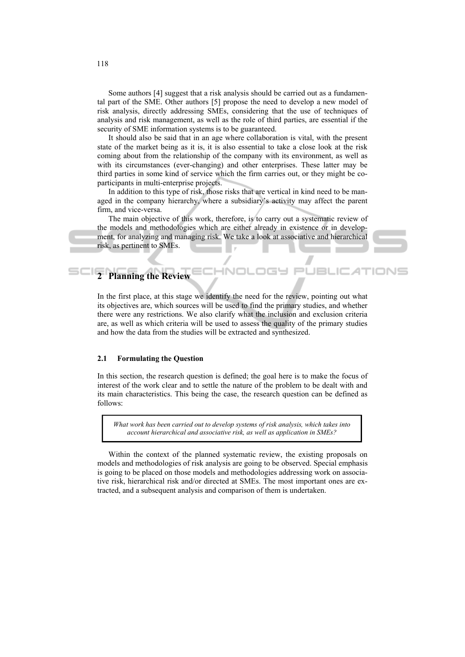Some authors [4] suggest that a risk analysis should be carried out as a fundamental part of the SME. Other authors [5] propose the need to develop a new model of risk analysis, directly addressing SMEs, considering that the use of techniques of analysis and risk management, as well as the role of third parties, are essential if the security of SME information systems is to be guaranteed.

It should also be said that in an age where collaboration is vital, with the present state of the market being as it is, it is also essential to take a close look at the risk coming about from the relationship of the company with its environment, as well as with its circumstances (ever-changing) and other enterprises. These latter may be third parties in some kind of service which the firm carries out, or they might be coparticipants in multi-enterprise projects.

In addition to this type of risk, those risks that are vertical in kind need to be managed in the company hierarchy, where a subsidiary's activity may affect the parent firm, and vice-versa.

The main objective of this work, therefore, is to carry out a systematic review of the models and methodologies which are either already in existence or in development, for analyzing and managing risk. We take a look at associative and hierarchical risk, as pertinent to SMEs.

INC

JEL

# **2 Planning the Review**

In the first place, at this stage we identify the need for the review, pointing out what its objectives are, which sources will be used to find the primary studies, and whether there were any restrictions. We also clarify what the inclusion and exclusion criteria are, as well as which criteria will be used to assess the quality of the primary studies and how the data from the studies will be extracted and synthesized.

#### **2.1 Formulating the Question**

In this section, the research question is defined; the goal here is to make the focus of interest of the work clear and to settle the nature of the problem to be dealt with and its main characteristics. This being the case, the research question can be defined as follows:

*What work has been carried out to develop systems of risk analysis, which takes into account hierarchical and associative risk, as well as application in SMEs?* 

Within the context of the planned systematic review, the existing proposals on models and methodologies of risk analysis are going to be observed. Special emphasis is going to be placed on those models and methodologies addressing work on associative risk, hierarchical risk and/or directed at SMEs. The most important ones are extracted, and a subsequent analysis and comparison of them is undertaken.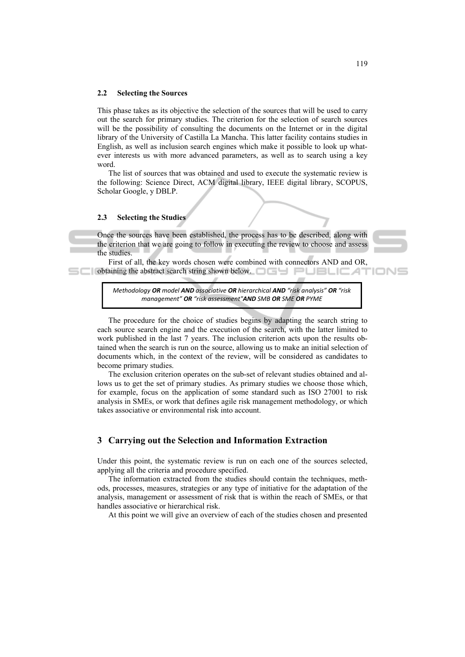#### **2.2 Selecting the Sources**

This phase takes as its objective the selection of the sources that will be used to carry out the search for primary studies. The criterion for the selection of search sources will be the possibility of consulting the documents on the Internet or in the digital library of the University of Castilla La Mancha. This latter facility contains studies in English, as well as inclusion search engines which make it possible to look up whatever interests us with more advanced parameters, as well as to search using a key word.

The list of sources that was obtained and used to execute the systematic review is the following: Science Direct, ACM digital library, IEEE digital library, SCOPUS, Scholar Google, y DBLP.

#### **2.3 Selecting the Studies**

Once the sources have been established, the process has to be described, along with the criterion that we are going to follow in executing the review to choose and assess the studies.

First of all, the key words chosen were combined with connectors AND and OR, obtaining the abstract search string shown below.

> *Methodology OR model AND associative OR hierarchical AND "risk analysis" OR "risk management" OR "risk assessment"AND SMB OR SME OR PYME*

The procedure for the choice of studies begins by adapting the search string to each source search engine and the execution of the search, with the latter limited to work published in the last 7 years. The inclusion criterion acts upon the results obtained when the search is run on the source, allowing us to make an initial selection of documents which, in the context of the review, will be considered as candidates to become primary studies.

The exclusion criterion operates on the sub-set of relevant studies obtained and allows us to get the set of primary studies. As primary studies we choose those which, for example, focus on the application of some standard such as ISO 27001 to risk analysis in SMEs, or work that defines agile risk management methodology, or which takes associative or environmental risk into account.

### **3 Carrying out the Selection and Information Extraction**

Under this point, the systematic review is run on each one of the sources selected, applying all the criteria and procedure specified.

The information extracted from the studies should contain the techniques, methods, processes, measures, strategies or any type of initiative for the adaptation of the analysis, management or assessment of risk that is within the reach of SMEs, or that handles associative or hierarchical risk.

At this point we will give an overview of each of the studies chosen and presented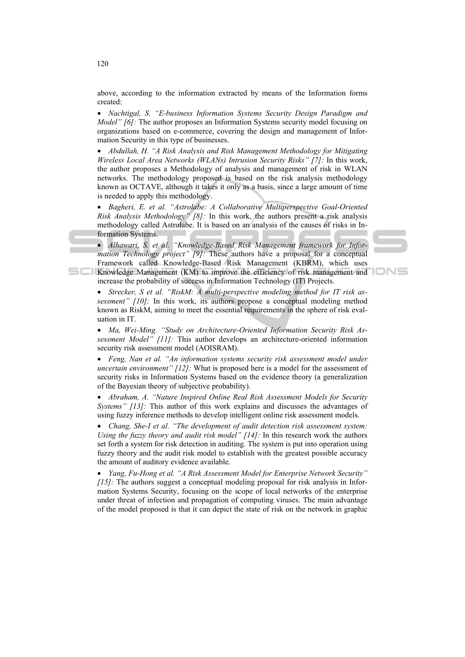above, according to the information extracted by means of the Information forms created:

• *Nachtigal, S. "E-business Information Systems Security Design Paradigm and Model" [6]:* The author proposes an Information Systems security model focusing on organizations based on e-commerce, covering the design and management of Information Security in this type of businesses.

• *Abdullah, H. "A Risk Analysis and Risk Management Methodology for Mitigating Wireless Local Area Networks (WLANs) Intrusion Security Risks" [7]:* In this work, the author proposes a Methodology of analysis and management of risk in WLAN networks. The methodology proposed is based on the risk analysis methodology known as OCTAVE, although it takes it only as a basis, since a large amount of time is needed to apply this methodology.

• *Bagheri, E. et al. "Astrolabe: A Collaborative Multiperspective Goal-Oriented Risk Analysis Methodology" [8]:* In this work, the authors present a risk analysis methodology called Astrolabe. It is based on an analysis of the causes of risks in Information Systems.

• *Alhawari, S. et al. "Knowledge-Based Risk Management framework for Information Technology project" [9]:* These authors have a proposal for a conceptual Framework called Knowledge-Based Risk Management (KBRM), which uses Knowledge Management (KM) to improve the efficiency of risk management and increase the probability of success in Information Technology (IT) Projects.

• *Strecker, S et al. "RiskM: A multi-perspective modeling method for IT risk assessment" [10]:* In this work, its authors propose a conceptual modeling method known as RiskM, aiming to meet the essential requirements in the sphere of risk evaluation in IT.

• *Ma, Wei-Ming. "Study on Architecture-Oriented Information Security Risk Assessment Model" [11]:* This author develops an architecture-oriented information security risk assessment model (AOISRAM).

• Feng, Nan et al. "An information systems security risk assessment model under *uncertain environment" [12]:* What is proposed here is a model for the assessment of security risks in Information Systems based on the evidence theory (a generalization of the Bayesian theory of subjective probability).

• *Abraham, A. "Nature Inspired Online Real Risk Assessment Models for Security Systems" [13]:* This author of this work explains and discusses the advantages of using fuzzy inference methods to develop intelligent online risk assessment models.

• *Chang, She-I et al. "The development of audit detection risk assessment system: Using the fuzzy theory and audit risk model" [14]:* In this research work the authors set forth a system for risk detection in auditing. The system is put into operation using fuzzy theory and the audit risk model to establish with the greatest possible accuracy the amount of auditory evidence available.

• *Yang, Fu-Hong et al. "A Risk Assessment Model for Enterprise Network Security" [15]:* The authors suggest a conceptual modeling proposal for risk analysis in Information Systems Security, focusing on the scope of local networks of the enterprise under threat of infection and propagation of computing viruses. The main advantage of the model proposed is that it can depict the state of risk on the network in graphic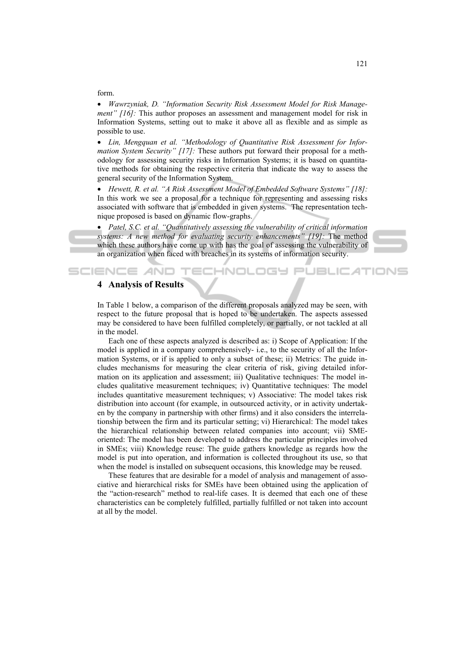form.

• *Wawrzyniak, D. "Information Security Risk Assessment Model for Risk Management" [16]:* This author proposes an assessment and management model for risk in Information Systems, setting out to make it above all as flexible and as simple as possible to use.

• *Lin, Mengquan et al. "Methodology of Quantitative Risk Assessment for Information System Security" [17]:* These authors put forward their proposal for a methodology for assessing security risks in Information Systems; it is based on quantitative methods for obtaining the respective criteria that indicate the way to assess the general security of the Information System.

• *Hewett, R. et al. "A Risk Assessment Model of Embedded Software Systems" [18]:*  In this work we see a proposal for a technique for representing and assessing risks associated with software that is embedded in given systems. The representation technique proposed is based on dynamic flow-graphs.

• *Patel, S.C. et al. "Quantitatively assessing the vulnerability of critical information systems: A new method for evaluating security enhancements" [19]:* The method which these authors have come up with has the goal of assessing the vulnerability of an organization when faced with breaches in its systems of information security.

SCIENCE AND TECHNOLOGY PUBLICATIONS



#### **4 Analysis of Results**

In Table 1 below, a comparison of the different proposals analyzed may be seen, with respect to the future proposal that is hoped to be undertaken. The aspects assessed may be considered to have been fulfilled completely, or partially, or not tackled at all in the model.

Each one of these aspects analyzed is described as: i) Scope of Application: If the model is applied in a company comprehensively- i.e., to the security of all the Information Systems, or if is applied to only a subset of these; ii) Metrics: The guide includes mechanisms for measuring the clear criteria of risk, giving detailed information on its application and assessment; iii) Qualitative techniques: The model includes qualitative measurement techniques; iv) Quantitative techniques: The model includes quantitative measurement techniques; v) Associative: The model takes risk distribution into account (for example, in outsourced activity, or in activity undertaken by the company in partnership with other firms) and it also considers the interrelationship between the firm and its particular setting; vi) Hierarchical: The model takes the hierarchical relationship between related companies into account; vii) SMEoriented: The model has been developed to address the particular principles involved in SMEs; viii) Knowledge reuse: The guide gathers knowledge as regards how the model is put into operation, and information is collected throughout its use, so that when the model is installed on subsequent occasions, this knowledge may be reused.

These features that are desirable for a model of analysis and management of associative and hierarchical risks for SMEs have been obtained using the application of the "action-research" method to real-life cases. It is deemed that each one of these characteristics can be completely fulfilled, partially fulfilled or not taken into account at all by the model.

121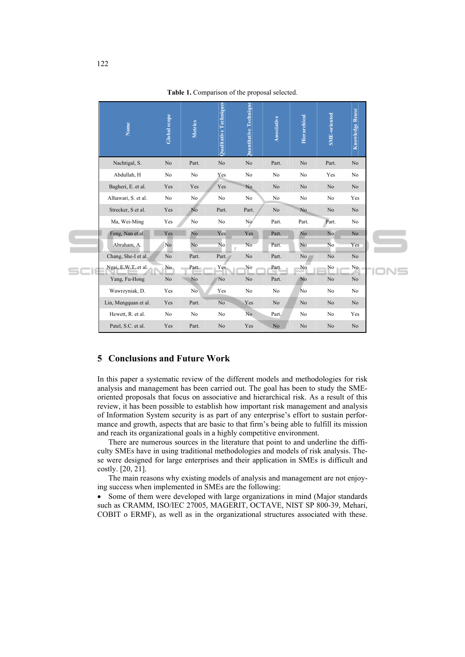|  | Name                 | Global scope   | <b>Metrics</b> | Qualitative Techniques | Quantitative Technique | <b>Associative</b> | Hierarchical   | <b>SME-oriented</b> | <b>Knowledge Reuse</b> |  |
|--|----------------------|----------------|----------------|------------------------|------------------------|--------------------|----------------|---------------------|------------------------|--|
|  | Nachtigal, S.        | N <sub>o</sub> | Part.          | No                     | N <sub>o</sub>         | Part.              | No             | Part.               | No                     |  |
|  | Abdullah, H          | No             | No             | Yes                    | No                     | No                 | No             | Yes                 | N <sub>0</sub>         |  |
|  | Bagheri, E. et al.   | Yes            | Yes            | Yes                    | No                     | No                 | No             | No                  | N <sub>o</sub>         |  |
|  | Alhawari, S. et al.  | No             | No.            | No                     | No                     | No                 | N <sub>o</sub> | No                  | Yes                    |  |
|  | Strecker, S et al.   | Yes            | No             | Part.                  | Part.                  | N <sub>o</sub>     | N <sub>o</sub> | N <sub>o</sub>      | No                     |  |
|  | Ma, Wei-Ming         | Yes            | No             | No.                    | No                     | Part.              | Part.          | Part.               | N <sub>o</sub>         |  |
|  | Feng, Nan et al.     | Yes            | No             | Yes                    | Yes                    | Part.              | No             | N <sub>o</sub>      | No.                    |  |
|  | Abraham, A.          | No             | No             | $\rm No$               | No                     | Part.              | N <sub>o</sub> | No                  | Yes                    |  |
|  | Chang, She-I et al.  | No             | Part.          | Part.                  | N <sub>o</sub>         | Part.              | No             | N <sub>o</sub>      | No                     |  |
|  | Ngai, E.W.T. et al.  | No.            | Part.          | Yes                    | No                     | Part.              | No             | No                  | No.                    |  |
|  | Yang, Fu-Hong        | No             | No             | N <sub>o</sub>         | N <sub>o</sub>         | Part.              | No             | No                  | No                     |  |
|  | Wawrzyniak, D.       | Yes            | No             | Yes                    | No                     | No                 | N <sub>o</sub> | No                  | No                     |  |
|  | Lin, Mengquan et al. | Yes            | Part.          | N <sub>o</sub>         | Yes                    | N <sub>o</sub>     | N <sub>o</sub> | No                  | N <sub>o</sub>         |  |
|  | Hewett, R. et al.    | No             | No             | No.                    | No                     | Part.              | No             | No                  | Yes                    |  |
|  | Patel, S.C. et al.   | Yes            | Part.          | N <sub>o</sub>         | Yes                    | N <sub>o</sub>     | No             | N <sub>o</sub>      | N <sub>o</sub>         |  |

**Table 1.** Comparison of the proposal selected.

# **5 Conclusions and Future Work**

In this paper a systematic review of the different models and methodologies for risk analysis and management has been carried out. The goal has been to study the SMEoriented proposals that focus on associative and hierarchical risk. As a result of this review, it has been possible to establish how important risk management and analysis of Information System security is as part of any enterprise's effort to sustain performance and growth, aspects that are basic to that firm's being able to fulfill its mission and reach its organizational goals in a highly competitive environment.

There are numerous sources in the literature that point to and underline the difficulty SMEs have in using traditional methodologies and models of risk analysis. These were designed for large enterprises and their application in SMEs is difficult and costly. [20, 21].

The main reasons why existing models of analysis and management are not enjoying success when implemented in SMEs are the following:

• Some of them were developed with large organizations in mind (Major standards such as CRAMM, ISO/IEC 27005, MAGERIT, OCTAVE, NIST SP 800-39, Mehari, COBIT o ERMF), as well as in the organizational structures associated with these.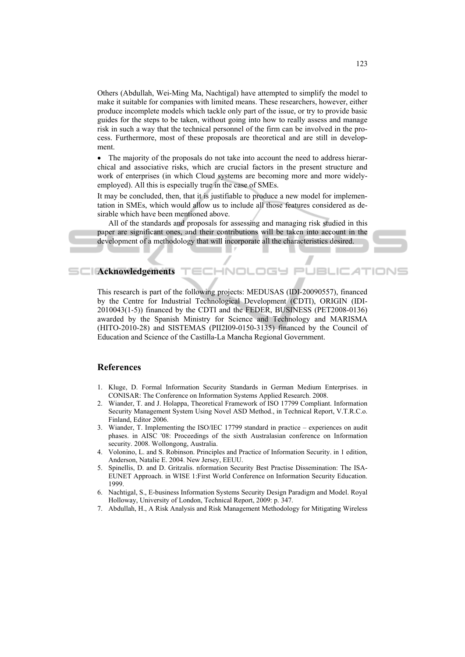Others (Abdullah, Wei-Ming Ma, Nachtigal) have attempted to simplify the model to make it suitable for companies with limited means. These researchers, however, either produce incomplete models which tackle only part of the issue, or try to provide basic guides for the steps to be taken, without going into how to really assess and manage risk in such a way that the technical personnel of the firm can be involved in the process. Furthermore, most of these proposals are theoretical and are still in development.

The majority of the proposals do not take into account the need to address hierarchical and associative risks, which are crucial factors in the present structure and work of enterprises (in which Cloud systems are becoming more and more widelyemployed). All this is especially true in the case of SMEs.

It may be concluded, then, that it is justifiable to produce a new model for implementation in SMEs, which would allow us to include all those features considered as desirable which have been mentioned above.

All of the standards and proposals for assessing and managing risk studied in this paper are significant ones, and their contributions will be taken into account in the development of a methodology that will incorporate all the characteristics desired.

**IHNOL** 

 $\Box$ 

JBLIC

# **Acknowledgements**

This research is part of the following projects: MEDUSAS (IDI-20090557), financed by the Centre for Industrial Technological Development (CDTI), ORIGIN (IDI-2010043(1-5)) financed by the CDTI and the FEDER, BUSINESS (PET2008-0136) awarded by the Spanish Ministry for Science and Technology and MARISMA (HITO-2010-28) and SISTEMAS (PII2I09-0150-3135) financed by the Council of Education and Science of the Castilla-La Mancha Regional Government.

#### **References**

- 1. Kluge, D. Formal Information Security Standards in German Medium Enterprises. in CONISAR: The Conference on Information Systems Applied Research. 2008.
- 2. Wiander, T. and J. Holappa, Theoretical Framework of ISO 17799 Compliant. Information Security Management System Using Novel ASD Method., in Technical Report, V.T.R.C.o. Finland, Editor 2006.
- 3. Wiander, T. Implementing the ISO/IEC 17799 standard in practice experiences on audit phases. in AISC '08: Proceedings of the sixth Australasian conference on Information security. 2008. Wollongong, Australia.
- 4. Volonino, L. and S. Robinson. Principles and Practice of Information Security. in 1 edition, Anderson, Natalie E. 2004. New Jersey, EEUU.
- 5. Spinellis, D. and D. Gritzalis. nformation Security Best Practise Dissemination: The ISA-EUNET Approach. in WISE 1:First World Conference on Information Security Education. 1999.
- 6. Nachtigal, S., E-business Information Systems Security Design Paradigm and Model. Royal Holloway, University of London, Technical Report, 2009: p. 347.
- 7. Abdullah, H., A Risk Analysis and Risk Management Methodology for Mitigating Wireless